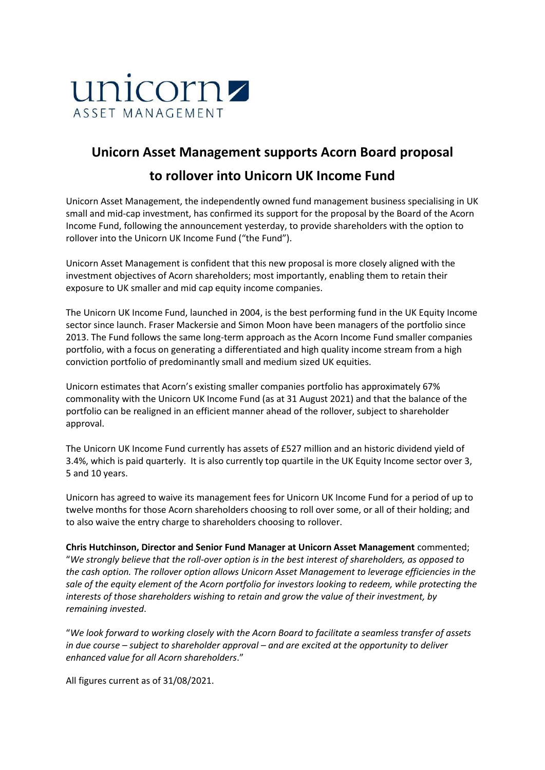

# **Unicorn Asset Management supports Acorn Board proposal to rollover into Unicorn UK Income Fund**

Unicorn Asset Management, the independently owned fund management business specialising in UK small and mid-cap investment, has confirmed its support for the proposal by the Board of the Acorn Income Fund, following the announcement yesterday, to provide shareholders with the option to rollover into the Unicorn UK Income Fund ("the Fund").

Unicorn Asset Management is confident that this new proposal is more closely aligned with the investment objectives of Acorn shareholders; most importantly, enabling them to retain their exposure to UK smaller and mid cap equity income companies.

The Unicorn UK Income Fund, launched in 2004, is the best performing fund in the UK Equity Income sector since launch. Fraser Mackersie and Simon Moon have been managers of the portfolio since 2013. The Fund follows the same long-term approach as the Acorn Income Fund smaller companies portfolio, with a focus on generating a differentiated and high quality income stream from a high conviction portfolio of predominantly small and medium sized UK equities.

Unicorn estimates that Acorn's existing smaller companies portfolio has approximately 67% commonality with the Unicorn UK Income Fund (as at 31 August 2021) and that the balance of the portfolio can be realigned in an efficient manner ahead of the rollover, subject to shareholder approval.

The Unicorn UK Income Fund currently has assets of £527 million and an historic dividend yield of 3.4%, which is paid quarterly. It is also currently top quartile in the UK Equity Income sector over 3, 5 and 10 years.

Unicorn has agreed to waive its management fees for Unicorn UK Income Fund for a period of up to twelve months for those Acorn shareholders choosing to roll over some, or all of their holding; and to also waive the entry charge to shareholders choosing to rollover.

**Chris Hutchinson, Director and Senior Fund Manager at Unicorn Asset Management** commented; "*We strongly believe that the roll-over option is in the best interest of shareholders, as opposed to the cash option. The rollover option allows Unicorn Asset Management to leverage efficiencies in the sale of the equity element of the Acorn portfolio for investors looking to redeem, while protecting the interests of those shareholders wishing to retain and grow the value of their investment, by remaining invested*.

"*We look forward to working closely with the Acorn Board to facilitate a seamless transfer of assets in due course – subject to shareholder approval – and are excited at the opportunity to deliver enhanced value for all Acorn shareholders*."

All figures current as of 31/08/2021.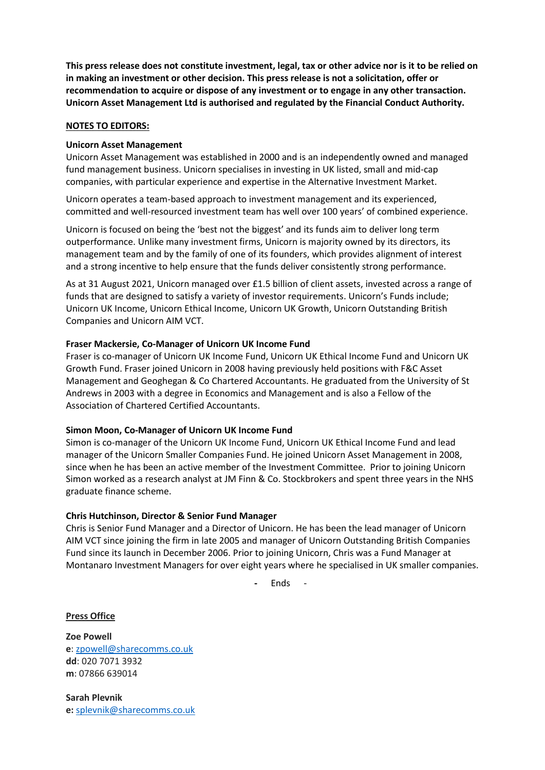**This press release does not constitute investment, legal, tax or other advice nor is it to be relied on in making an investment or other decision. This press release is not a solicitation, offer or recommendation to acquire or dispose of any investment or to engage in any other transaction. Unicorn Asset Management Ltd is authorised and regulated by the Financial Conduct Authority.**

## **NOTES TO EDITORS:**

### **Unicorn Asset Management**

Unicorn Asset Management was established in 2000 and is an independently owned and managed fund management business. Unicorn specialises in investing in UK listed, small and mid-cap companies, with particular experience and expertise in the Alternative Investment Market.

Unicorn operates a team-based approach to investment management and its experienced, committed and well-resourced investment team has well over 100 years' of combined experience.

Unicorn is focused on being the 'best not the biggest' and its funds aim to deliver long term outperformance. Unlike many investment firms, Unicorn is majority owned by its directors, its management team and by the family of one of its founders, which provides alignment of interest and a strong incentive to help ensure that the funds deliver consistently strong performance.

As at 31 August 2021, Unicorn managed over £1.5 billion of client assets, invested across a range of funds that are designed to satisfy a variety of investor requirements. Unicorn's Funds include; Unicorn UK Income, Unicorn Ethical Income, Unicorn UK Growth, Unicorn Outstanding British Companies and Unicorn AIM VCT.

### **Fraser Mackersie, Co-Manager of Unicorn UK Income Fund**

Fraser is co-manager of Unicorn UK Income Fund, Unicorn UK Ethical Income Fund and Unicorn UK Growth Fund. Fraser joined Unicorn in 2008 having previously held positions with F&C Asset Management and Geoghegan & Co Chartered Accountants. He graduated from the University of St Andrews in 2003 with a degree in Economics and Management and is also a Fellow of the Association of Chartered Certified Accountants.

## **Simon Moon, Co-Manager of Unicorn UK Income Fund**

Simon is co-manager of the Unicorn UK Income Fund, Unicorn UK Ethical Income Fund and lead manager of the Unicorn Smaller Companies Fund. He joined Unicorn Asset Management in 2008, since when he has been an active member of the Investment Committee. Prior to joining Unicorn Simon worked as a research analyst at JM Finn & Co. Stockbrokers and spent three years in the NHS graduate finance scheme.

#### **Chris Hutchinson, Director & Senior Fund Manager**

Chris is Senior Fund Manager and a Director of Unicorn. He has been the lead manager of Unicorn AIM VCT since joining the firm in late 2005 and manager of Unicorn Outstanding British Companies Fund since its launch in December 2006. Prior to joining Unicorn, Chris was a Fund Manager at Montanaro Investment Managers for over eight years where he specialised in UK smaller companies.

**-** Ends -

**Press Office**

**Zoe Powell e**: [zpowell@sharecomms.co.uk](mailto:zpowell@sharecomms.co.uk) **dd**: 020 7071 3932 **m**: 07866 639014

**Sarah Plevnik e:** [splevnik@sharecomms.co.uk](mailto:splevnik@sharecomms.co.uk)